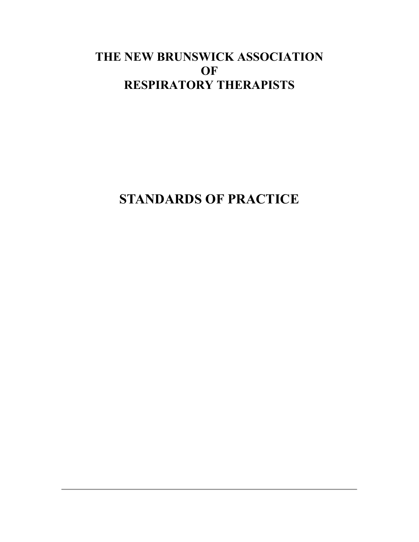## **THE NEW BRUNSWICK ASSOCIATION OF RESPIRATORY THERAPISTS**

**STANDARDS OF PRACTICE**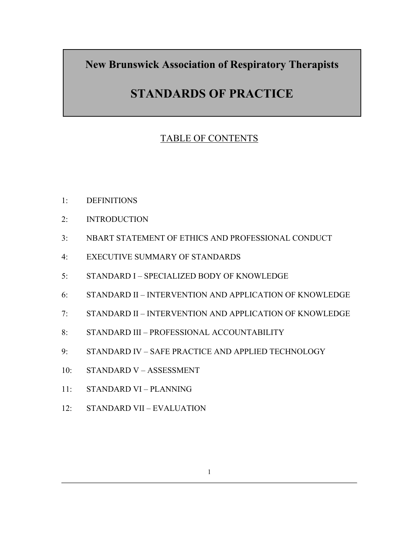**New Brunswick Association of Respiratory Therapists** 

# **STANDARDS OF PRACTICE**

## TABLE OF CONTENTS

- 1: DEFINITIONS
- 2: INTRODUCTION
- 3: NBART STATEMENT OF ETHICS AND PROFESSIONAL CONDUCT
- 4: EXECUTIVE SUMMARY OF STANDARDS
- 5: STANDARD I SPECIALIZED BODY OF KNOWLEDGE
- 6: STANDARD II INTERVENTION AND APPLICATION OF KNOWLEDGE
- 7: STANDARD II INTERVENTION AND APPLICATION OF KNOWLEDGE
- 8: STANDARD III PROFESSIONAL ACCOUNTABILITY
- 9: STANDARD IV SAFE PRACTICE AND APPLIED TECHNOLOGY
- 10: STANDARD V ASSESSMENT
- 11: STANDARD VI PLANNING
- 12: STANDARD VII EVALUATION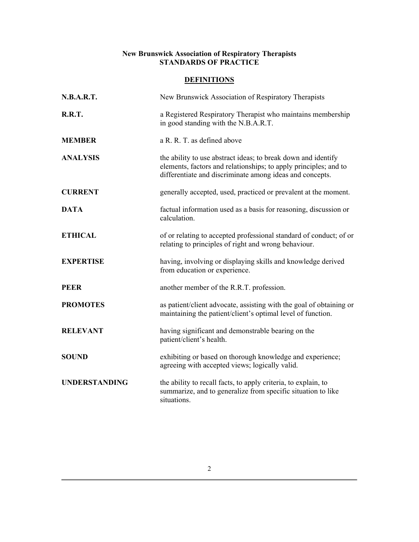## **New Brunswick Association of Respiratory Therapists STANDARDS OF PRACTICE**

## **DEFINITIONS**

| <b>N.B.A.R.T.</b>    | New Brunswick Association of Respiratory Therapists                                                                                                                                           |
|----------------------|-----------------------------------------------------------------------------------------------------------------------------------------------------------------------------------------------|
| <b>R.R.T.</b>        | a Registered Respiratory Therapist who maintains membership<br>in good standing with the N.B.A.R.T.                                                                                           |
| <b>MEMBER</b>        | a R. R. T. as defined above                                                                                                                                                                   |
| <b>ANALYSIS</b>      | the ability to use abstract ideas; to break down and identify<br>elements, factors and relationships; to apply principles; and to<br>differentiate and discriminate among ideas and concepts. |
| <b>CURRENT</b>       | generally accepted, used, practiced or prevalent at the moment.                                                                                                                               |
| <b>DATA</b>          | factual information used as a basis for reasoning, discussion or<br>calculation.                                                                                                              |
| <b>ETHICAL</b>       | of or relating to accepted professional standard of conduct; of or<br>relating to principles of right and wrong behaviour.                                                                    |
| <b>EXPERTISE</b>     | having, involving or displaying skills and knowledge derived<br>from education or experience.                                                                                                 |
| <b>PEER</b>          | another member of the R.R.T. profession.                                                                                                                                                      |
| <b>PROMOTES</b>      | as patient/client advocate, assisting with the goal of obtaining or<br>maintaining the patient/client's optimal level of function.                                                            |
| <b>RELEVANT</b>      | having significant and demonstrable bearing on the<br>patient/client's health.                                                                                                                |
| <b>SOUND</b>         | exhibiting or based on thorough knowledge and experience;<br>agreeing with accepted views; logically valid.                                                                                   |
| <b>UNDERSTANDING</b> | the ability to recall facts, to apply criteria, to explain, to<br>summarize, and to generalize from specific situation to like<br>situations.                                                 |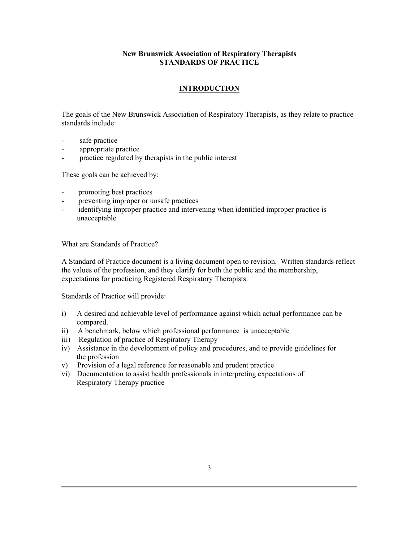## **New Brunswick Association of Respiratory Therapists STANDARDS OF PRACTICE**

## **INTRODUCTION**

The goals of the New Brunswick Association of Respiratory Therapists, as they relate to practice standards include:

- safe practice
- appropriate practice
- practice regulated by therapists in the public interest

These goals can be achieved by:

- promoting best practices
- preventing improper or unsafe practices
- identifying improper practice and intervening when identified improper practice is unacceptable

What are Standards of Practice?

A Standard of Practice document is a living document open to revision. Written standards reflect the values of the profession, and they clarify for both the public and the membership, expectations for practicing Registered Respiratory Therapists.

Standards of Practice will provide:

- i) A desired and achievable level of performance against which actual performance can be compared.
- ii) A benchmark, below which professional performance is unacceptable
- iii) Regulation of practice of Respiratory Therapy
- iv) Assistance in the development of policy and procedures, and to provide guidelines for the profession
- v) Provision of a legal reference for reasonable and prudent practice
- vi) Documentation to assist health professionals in interpreting expectations of Respiratory Therapy practice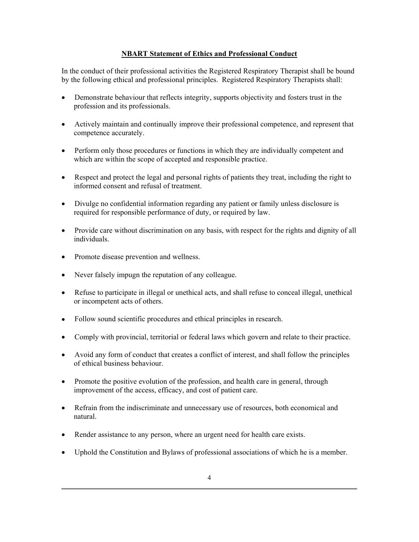## **NBART Statement of Ethics and Professional Conduct**

In the conduct of their professional activities the Registered Respiratory Therapist shall be bound by the following ethical and professional principles. Registered Respiratory Therapists shall:

- Demonstrate behaviour that reflects integrity, supports objectivity and fosters trust in the profession and its professionals.
- Actively maintain and continually improve their professional competence, and represent that competence accurately.
- Perform only those procedures or functions in which they are individually competent and which are within the scope of accepted and responsible practice.
- Respect and protect the legal and personal rights of patients they treat, including the right to informed consent and refusal of treatment.
- Divulge no confidential information regarding any patient or family unless disclosure is required for responsible performance of duty, or required by law.
- Provide care without discrimination on any basis, with respect for the rights and dignity of all individuals.
- Promote disease prevention and wellness.
- Never falsely impugn the reputation of any colleague.
- Refuse to participate in illegal or unethical acts, and shall refuse to conceal illegal, unethical or incompetent acts of others.
- Follow sound scientific procedures and ethical principles in research.
- Comply with provincial, territorial or federal laws which govern and relate to their practice.
- Avoid any form of conduct that creates a conflict of interest, and shall follow the principles of ethical business behaviour.
- Promote the positive evolution of the profession, and health care in general, through improvement of the access, efficacy, and cost of patient care.
- Refrain from the indiscriminate and unnecessary use of resources, both economical and natural.
- Render assistance to any person, where an urgent need for health care exists.
- Uphold the Constitution and Bylaws of professional associations of which he is a member.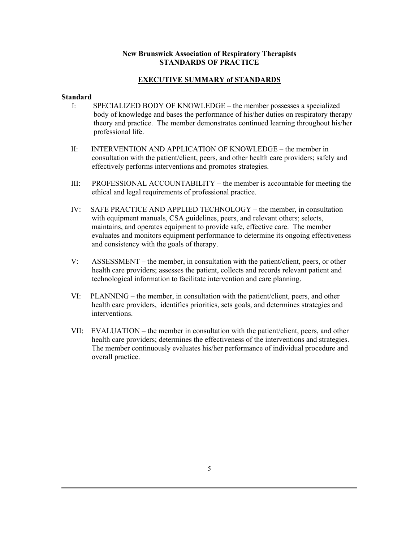### **New Brunswick Association of Respiratory Therapists STANDARDS OF PRACTICE**

## **EXECUTIVE SUMMARY of STANDARDS**

#### **Standard**

- I: SPECIALIZED BODY OF KNOWLEDGE the member possesses a specialized body of knowledge and bases the performance of his/her duties on respiratory therapy theory and practice. The member demonstrates continued learning throughout his/her professional life.
- II: INTERVENTION AND APPLICATION OF KNOWLEDGE the member in consultation with the patient/client, peers, and other health care providers; safely and effectively performs interventions and promotes strategies.
- III: PROFESSIONAL ACCOUNTABILITY the member is accountable for meeting the ethical and legal requirements of professional practice.
- IV: SAFE PRACTICE AND APPLIED TECHNOLOGY the member, in consultation with equipment manuals, CSA guidelines, peers, and relevant others; selects, maintains, and operates equipment to provide safe, effective care. The member evaluates and monitors equipment performance to determine its ongoing effectiveness and consistency with the goals of therapy.
- V: ASSESSMENT the member, in consultation with the patient/client, peers, or other health care providers; assesses the patient, collects and records relevant patient and technological information to facilitate intervention and care planning.
- VI: PLANNING the member, in consultation with the patient/client, peers, and other health care providers, identifies priorities, sets goals, and determines strategies and interventions.
- VII: EVALUATION the member in consultation with the patient/client, peers, and other health care providers; determines the effectiveness of the interventions and strategies. The member continuously evaluates his/her performance of individual procedure and overall practice.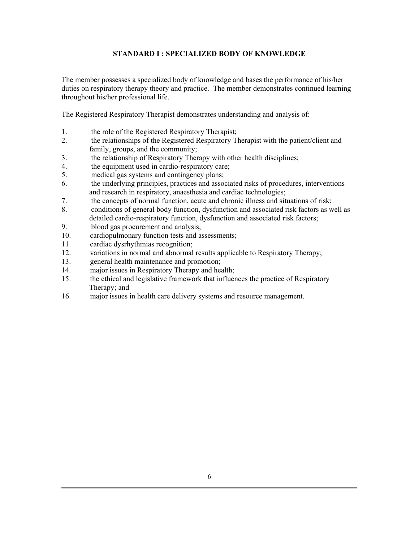## **STANDARD I : SPECIALIZED BODY OF KNOWLEDGE**

The member possesses a specialized body of knowledge and bases the performance of his/her duties on respiratory therapy theory and practice. The member demonstrates continued learning throughout his/her professional life.

The Registered Respiratory Therapist demonstrates understanding and analysis of:

- 1. the role of the Registered Respiratory Therapist;
- 2. the relationships of the Registered Respiratory Therapist with the patient/client and family, groups, and the community;
- 3. the relationship of Respiratory Therapy with other health disciplines;
- 4. the equipment used in cardio-respiratory care;
- 5. medical gas systems and contingency plans;
- 6. the underlying principles, practices and associated risks of procedures, interventions and research in respiratory, anaesthesia and cardiac technologies;
- 7. the concepts of normal function, acute and chronic illness and situations of risk;
- 8. conditions of general body function, dysfunction and associated risk factors as well as detailed cardio-respiratory function, dysfunction and associated risk factors;
- 9. blood gas procurement and analysis;
- 10. cardiopulmonary function tests and assessments;
- 11. cardiac dysrhythmias recognition;
- 12. variations in normal and abnormal results applicable to Respiratory Therapy;
- 13. general health maintenance and promotion;
- 14. major issues in Respiratory Therapy and health;
- 15. the ethical and legislative framework that influences the practice of Respiratory Therapy; and
- 16. major issues in health care delivery systems and resource management.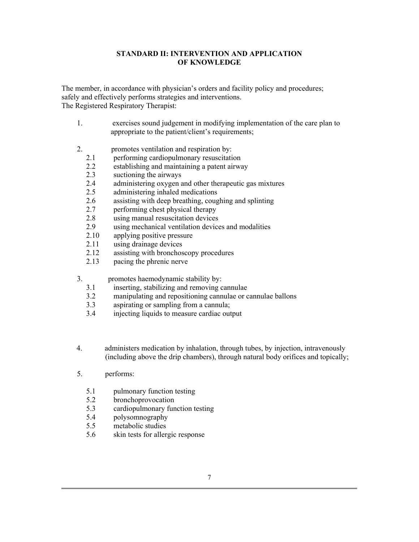## **STANDARD II: INTERVENTION AND APPLICATION OF KNOWLEDGE**

The member, in accordance with physician's orders and facility policy and procedures; safely and effectively performs strategies and interventions. The Registered Respiratory Therapist:

- 1. exercises sound judgement in modifying implementation of the care plan to appropriate to the patient/client's requirements;
- 2. promotes ventilation and respiration by:
	- 2.1 performing cardiopulmonary resuscitation
	- 2.2 establishing and maintaining a patent airway
	- 2.3 suctioning the airways
	- 2.4 administering oxygen and other therapeutic gas mixtures
	- 2.5 administering inhaled medications
	- 2.6 assisting with deep breathing, coughing and splinting
	- 2.7 performing chest physical therapy
	- 2.8 using manual resuscitation devices
	- 2.9 using mechanical ventilation devices and modalities
	- 2.10 applying positive pressure
	- 2.11 using drainage devices<br>2.12 assisting with bronchos
	- assisting with bronchoscopy procedures
	- 2.13 pacing the phrenic nerve
- 3. promotes haemodynamic stability by:
	- 3.1 inserting, stabilizing and removing cannulae
	- 3.2 manipulating and repositioning cannulae or cannulae ballons
	- 3.3 aspirating or sampling from a cannula;
	- 3.4 injecting liquids to measure cardiac output
- 4. administers medication by inhalation, through tubes, by injection, intravenously (including above the drip chambers), through natural body orifices and topically;
- 5. performs:
	- 5.1 pulmonary function testing
	- 5.2 bronchoprovocation
	- 5.3 cardiopulmonary function testing
	- 5.4 polysomnography
	- 5.5 metabolic studies
	- 5.6 skin tests for allergic response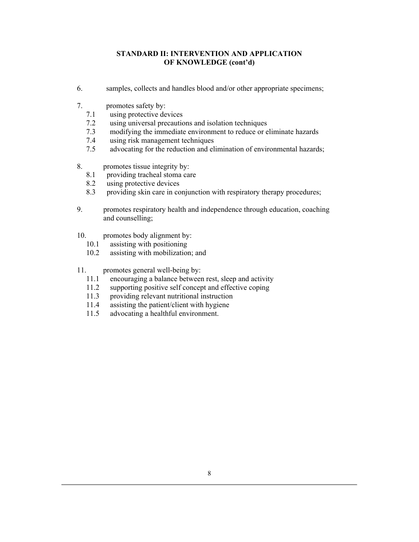## **STANDARD II: INTERVENTION AND APPLICATION OF KNOWLEDGE (cont'd)**

- 6. samples, collects and handles blood and/or other appropriate specimens;
- 7. promotes safety by:
	- 7.1 using protective devices
	- 7.2 using universal precautions and isolation techniques
	- 7.3 modifying the immediate environment to reduce or eliminate hazards
	- 7.4 using risk management techniques
	- 7.5 advocating for the reduction and elimination of environmental hazards;
- 8. promotes tissue integrity by:
	- 8.1 providing tracheal stoma care
	- 8.2 using protective devices
	- 8.3 providing skin care in conjunction with respiratory therapy procedures;
- 9. promotes respiratory health and independence through education, coaching and counselling;
- 10. promotes body alignment by:
	- 10.1 assisting with positioning
	- 10.2 assisting with mobilization; and
- 11. promotes general well-being by:
	- 11.1 encouraging a balance between rest, sleep and activity
	- 11.2 supporting positive self concept and effective coping
	- 11.3 providing relevant nutritional instruction
	- 11.4 assisting the patient/client with hygiene
	- 11.5 advocating a healthful environment.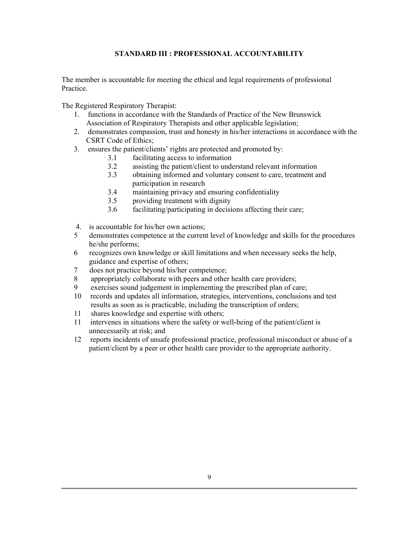## **STANDARD III : PROFESSIONAL ACCOUNTABILITY**

The member is accountable for meeting the ethical and legal requirements of professional **Practice** 

- 1. functions in accordance with the Standards of Practice of the New Brunswick Association of Respiratory Therapists and other applicable legislation;
- 2. demonstrates compassion, trust and honesty in his/her interactions in accordance with the CSRT Code of Ethics;
- 3. ensures the patient/clients' rights are protected and promoted by:
	- 3.1 facilitating access to information
	- 3.2 assisting the patient/client to understand relevant information
	- 3.3 obtaining informed and voluntary consent to care, treatment and participation in research
	- 3.4 maintaining privacy and ensuring confidentiality
	- 3.5 providing treatment with dignity
	- 3.6 facilitating/participating in decisions affecting their care;
- 4. is accountable for his/her own actions;
- 5 demonstrates competence at the current level of knowledge and skills for the procedures he/she performs;
- 6 recognizes own knowledge or skill limitations and when necessary seeks the help, guidance and expertise of others;
- 7 does not practice beyond his/her competence;
- 8 appropriately collaborate with peers and other health care providers;
- 9 exercises sound judgement in implementing the prescribed plan of care;
- 10 records and updates all information, strategies, interventions, conclusions and test results as soon as is practicable, including the transcription of orders;
- 11 shares knowledge and expertise with others;
- 11 intervenes in situations where the safety or well-being of the patient/client is unnecessarily at risk; and
- 12 reports incidents of unsafe professional practice, professional misconduct or abuse of a patient/client by a peer or other health care provider to the appropriate authority.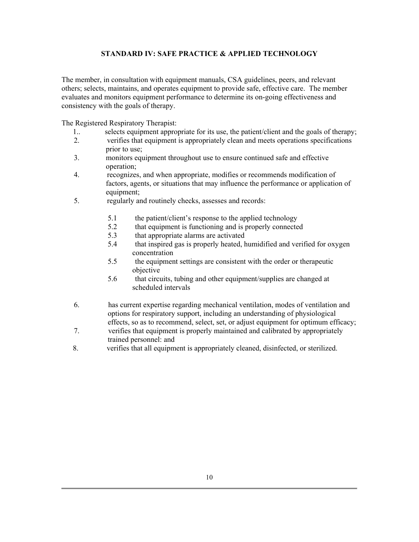## **STANDARD IV: SAFE PRACTICE & APPLIED TECHNOLOGY**

The member, in consultation with equipment manuals, CSA guidelines, peers, and relevant others; selects, maintains, and operates equipment to provide safe, effective care. The member evaluates and monitors equipment performance to determine its on-going effectiveness and consistency with the goals of therapy.

- 1.. selects equipment appropriate for its use, the patient/client and the goals of therapy;<br>2. verifies that equipment is appropriately clean and meets operations specifications
- 2. verifies that equipment is appropriately clean and meets operations specifications prior to use;
- 3. monitors equipment throughout use to ensure continued safe and effective operation;
- 4. recognizes, and when appropriate, modifies or recommends modification of factors, agents, or situations that may influence the performance or application of equipment;
- 5. regularly and routinely checks, assesses and records:
	- 5.1 the patient/client's response to the applied technology
	- 5.2 that equipment is functioning and is properly connected
	- 5.3 that appropriate alarms are activated
	- 5.4 that inspired gas is properly heated, humidified and verified for oxygen concentration
	- 5.5 the equipment settings are consistent with the order or therapeutic objective
	- 5.6 that circuits, tubing and other equipment/supplies are changed at scheduled intervals
- 6. has current expertise regarding mechanical ventilation, modes of ventilation and options for respiratory support, including an understanding of physiological effects, so as to recommend, select, set, or adjust equipment for optimum efficacy;
- 7. verifies that equipment is properly maintained and calibrated by appropriately trained personnel: and
- 8. verifies that all equipment is appropriately cleaned, disinfected, or sterilized.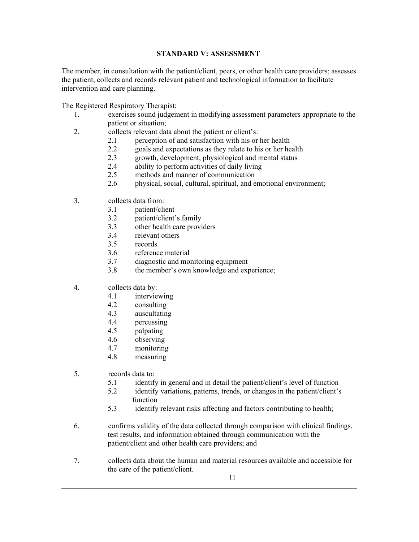## **STANDARD V: ASSESSMENT**

The member, in consultation with the patient/client, peers, or other health care providers; assesses the patient, collects and records relevant patient and technological information to facilitate intervention and care planning.

- 1. exercises sound judgement in modifying assessment parameters appropriate to the patient or situation;
- 2. collects relevant data about the patient or client's:
	- 2.1 perception of and satisfaction with his or her health
	- 2.2 goals and expectations as they relate to his or her health
	- 2.3 growth, development, physiological and mental status
	- 2.4 ability to perform activities of daily living
	- 2.5 methods and manner of communication
	- 2.6 physical, social, cultural, spiritual, and emotional environment;
- 3. collects data from:
	- 3.1 patient/client
	- 3.2 patient/client's family
	- 3.3 other health care providers
	- 3.4 relevant others
	- 3.5 records
	- 3.6 reference material
	- 3.7 diagnostic and monitoring equipment
	- 3.8 the member's own knowledge and experience;
- 4. collects data by:
	- 4.1 interviewing
	- 4.2 consulting
	- 4.3 auscultating
	- 4.4 percussing
	- 4.5 palpating
	- 4.6 observing
	- 4.7 monitoring
	- 4.8 measuring
- 5. records data to:
	- 5.1 identify in general and in detail the patient/client's level of function
	- 5.2 identify variations, patterns, trends, or changes in the patient/client's function
	- 5.3 identify relevant risks affecting and factors contributing to health;
- 6. confirms validity of the data collected through comparison with clinical findings, test results, and information obtained through communication with the patient/client and other health care providers; and
- 7. collects data about the human and material resources available and accessible for the care of the patient/client.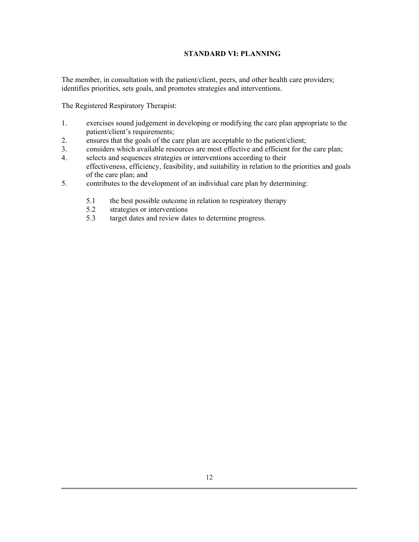## **STANDARD VI: PLANNING**

The member, in consultation with the patient/client, peers, and other health care providers; identifies priorities, sets goals, and promotes strategies and interventions.

- 1. exercises sound judgement in developing or modifying the care plan appropriate to the patient/client's requirements;
- 2. ensures that the goals of the care plan are acceptable to the patient/client;
- 3. considers which available resources are most effective and efficient for the care plan;
- 4. selects and sequences strategies or interventions according to their effectiveness, efficiency, feasibility, and suitability in relation to the priorities and goals of the care plan; and
- 5. contributes to the development of an individual care plan by determining:
	- 5.1 the best possible outcome in relation to respiratory therapy<br>5.2 strategies or interventions
	- strategies or interventions
	- 5.3 target dates and review dates to determine progress.